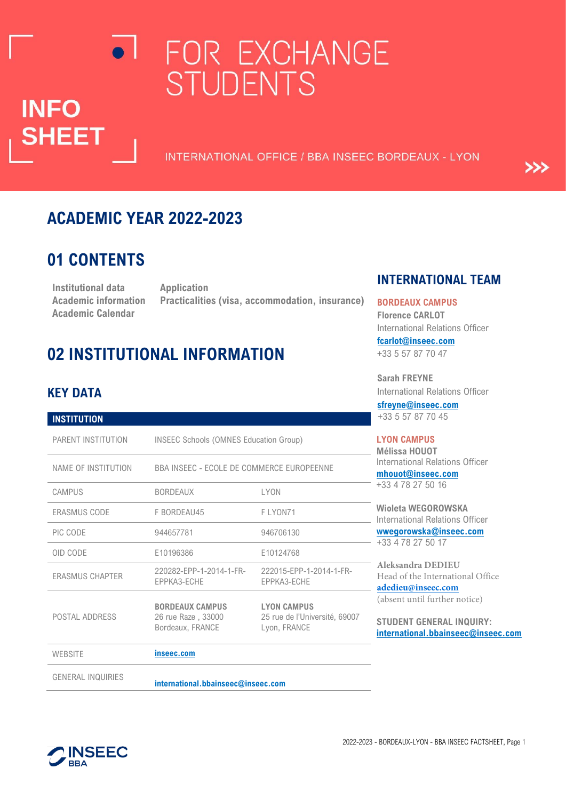# FOR EXCHANGE **STUDENTS**

INTERNATIONAL OFFICE / BBA INSEEC BORDEAUX - LYON

### **ACADEMIC YEAR 2022-2023**

# **01 CONTENTS**

**INFO** 

**SHEET** 

**Institutional data Application Academic Calendar**

**Academic information Practicalities (visa, accommodation, insurance)**

# **02 INSTITUTIONAL INFORMATION**

### **KEY DATA**

| <b>INSTITUTION</b>       |                                                                  |                                                                     |  |
|--------------------------|------------------------------------------------------------------|---------------------------------------------------------------------|--|
| PARENT INSTITUTION       | INSEEC Schools (OMNES Education Group)                           |                                                                     |  |
| NAME OF INSTITUTION      | BBA INSEEC - ECOLE DE COMMERCE EUROPEENNE                        |                                                                     |  |
| CAMPUS                   | <b>LYON</b><br><b>BORDEAUX</b>                                   |                                                                     |  |
| <b>ERASMUS CODE</b>      | F BORDEAU45<br>F LYON71                                          |                                                                     |  |
| PIC CODE                 | 944657781                                                        | 946706130                                                           |  |
| OID CODE                 | E10196386                                                        | E10124768                                                           |  |
| <b>ERASMUS CHAPTER</b>   | 220282-EPP-1-2014-1-FR-<br>EPPKA3-ECHE                           | 222015-EPP-1-2014-1-FR-<br>EPPKA3-ECHE                              |  |
| POSTAL ADDRESS           | <b>BORDEAUX CAMPUS</b><br>26 rue Raze, 33000<br>Bordeaux, FRANCE | <b>LYON CAMPUS</b><br>25 rue de l'Université, 69007<br>Lyon, FRANCE |  |
| <b>WEBSITE</b>           | inseec.com                                                       |                                                                     |  |
| <b>GENERAL INQUIRIES</b> | international.bbainseec@inseec.com                               |                                                                     |  |

### **INTERNATIONAL TEAM**

>>>

#### **BORDEAUX CAMPUS**

**Florence CARLOT**  International Relations Officer **fcarlot@inseec.com**

+33 5 57 87 70 47

**Sarah FREYNE**  International Relations Officer

**sfreyne@inseec.com** 5 57 87 70 45

#### **CAMPUS**

**Mélissa HOUOT**  national Relations Officer **not@inseec.com** +78 27 50 16

**Wioleta WEGOROWSKA**  national Relations Officer **wwegorowska@inseec.com** +33 4 78 27 50 17

**Aleksandra DEDIEU** of the International Office  $ieu@insec.com$ ent until further notice)

**ENT GENERAL INQUIRY: international.bbainseec@inseec.com**

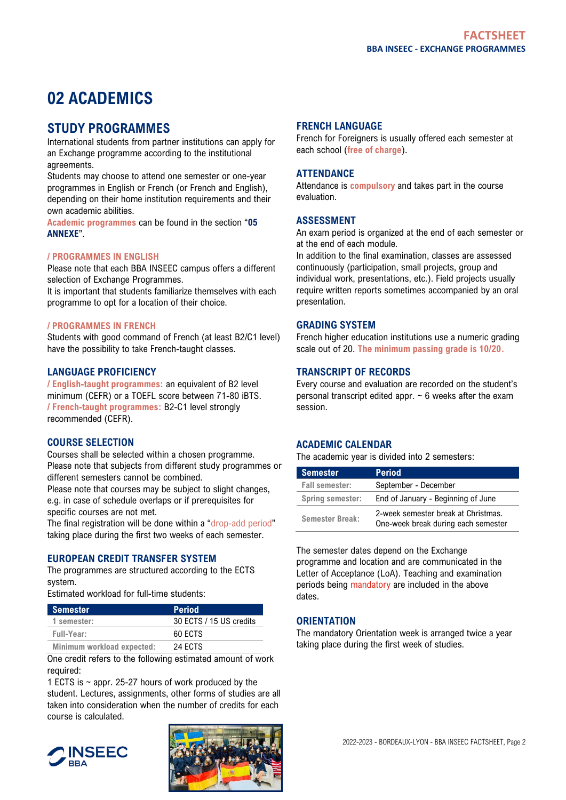# **02 ACADEMICS**

### **STUDY PROGRAMMES**

International students from partner institutions can apply for an Exchange programme according to the institutional agreements.

Students may choose to attend one semester or one-year programmes in English or French (or French and English), depending on their home institution requirements and their own academic abilities.

**Academic programmes** can be found in the section "**05 ANNEXE**".

#### **/ PROGRAMMES IN ENGLISH**

Please note that each BBA INSEEC campus offers a different selection of Exchange Programmes.

It is important that students familiarize themselves with each programme to opt for a location of their choice.

#### **/ PROGRAMMES IN FRENCH**

Students with good command of French (at least B2/C1 level) have the possibility to take French-taught classes.

#### **LANGUAGE PROFICIENCY**

**/ English-taught programmes:** an equivalent of B2 level minimum (CEFR) or a TOEFL score between 71-80 iBTS. **/ French-taught programmes:** B2-C1 level strongly recommended (CEFR).

#### **COURSE SELECTION**

Courses shall be selected within a chosen programme. Please note that subjects from different study programmes or different semesters cannot be combined.

Please note that courses may be subject to slight changes, e.g. in case of schedule overlaps or if prerequisites for specific courses are not met.

The final registration will be done within a "drop-add period" taking place during the first two weeks of each semester.

#### **EUROPEAN CREDIT TRANSFER SYSTEM**

The programmes are structured according to the ECTS system.

Estimated workload for full-time students:

| <b>Semester</b>            | <b>Period</b>           |
|----------------------------|-------------------------|
| 1 semester:                | 30 ECTS / 15 US credits |
| Full-Year:                 | 60 FCTS                 |
| Minimum workload expected: | 24 ECTS                 |

One credit refers to the following estimated amount of work required:

1 ECTS is ~ appr. 25-27 hours of work produced by the student. Lectures, assignments, other forms of studies are all taken into consideration when the number of credits for each course is calculated.

#### **INSEEC BRA**



#### **FRENCH LANGUAGE**

French for Foreigners is usually offered each semester at each school (**free of charge**).

#### **ATTENDANCE**

Attendance is **compulsory** and takes part in the course evaluation.

#### **ASSESSMENT**

An exam period is organized at the end of each semester or at the end of each module.

In addition to the final examination, classes are assessed continuously (participation, small projects, group and individual work, presentations, etc.). Field projects usually require written reports sometimes accompanied by an oral presentation.

#### **GRADING SYSTEM**

French higher education institutions use a numeric grading scale out of 20. **The minimum passing grade is 10/20.**

#### **TRANSCRIPT OF RECORDS**

Every course and evaluation are recorded on the student's personal transcript edited appr.  $\sim$  6 weeks after the exam session.

#### **ACADEMIC CALENDAR**

The academic year is divided into 2 semesters:

| <b>Semester</b>         | <b>Period</b>                                                              |
|-------------------------|----------------------------------------------------------------------------|
| <b>Fall semester:</b>   | September - December                                                       |
| <b>Spring semester:</b> | End of January - Beginning of June                                         |
| <b>Semester Break:</b>  | 2-week semester break at Christmas.<br>One-week break during each semester |

The semester dates depend on the Exchange programme and location and are communicated in the Letter of Acceptance (LoA). Teaching and examination periods being mandatory are included in the above dates.

#### **ORIENTATION**

The mandatory Orientation week is arranged twice a year taking place during the first week of studies.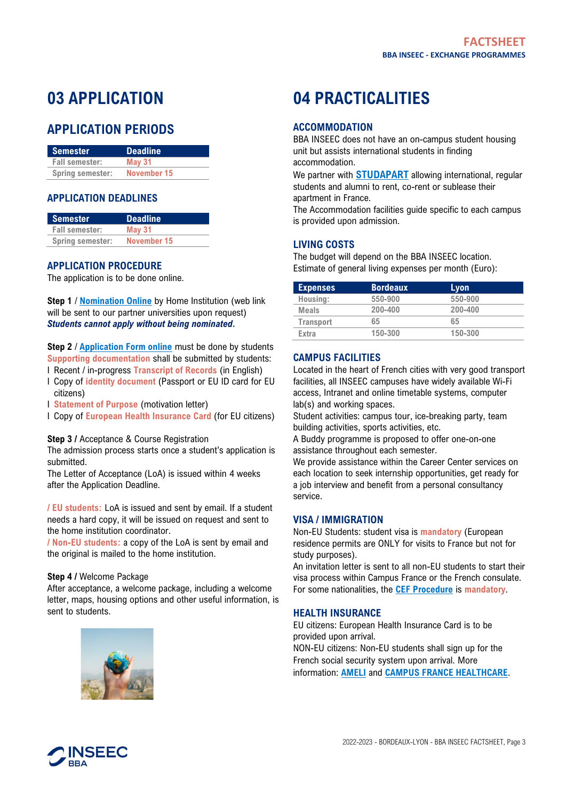# **03 APPLICATION**

### **APPLICATION PERIODS**

| Semester                | <b>Deadline</b> |
|-------------------------|-----------------|
| <b>Fall semester:</b>   | <b>May 31</b>   |
| <b>Spring semester:</b> | November 15     |

#### **APPLICATION DEADLINES**

| <b>Semester</b>         | <b>Deadline</b> |
|-------------------------|-----------------|
| <b>Fall semester:</b>   | <b>May 31</b>   |
| <b>Spring semester:</b> | November 15     |

#### **APPLICATION PROCEDURE**

The application is to be done online.

**Step 1** / **Nomination Online** by Home Institution (web link will be sent to our partner universities upon request) *Students cannot apply without being nominated.*

**Step 2** / **Application Form online** must be done by students **Supporting documentation** shall be submitted by students:

- I Recent / in-progress **Transcript of Records** (in English)
- I Copy of **identity document** (Passport or EU ID card for EU citizens)
- I **Statement of Purpose** (motivation letter)
- I Copy of **European Health Insurance Card** (for EU citizens)

#### **Step 3 /** Acceptance & Course Registration

The admission process starts once a student's application is submitted.

The Letter of Acceptance (LoA) is issued within 4 weeks after the Application Deadline.

**/ EU students:** LoA is issued and sent by email. If a student needs a hard copy, it will be issued on request and sent to the home institution coordinator.

**/ Non-EU students:** a copy of the LoA is sent by email and the original is mailed to the home institution.

#### **Step 4 /** Welcome Package

After acceptance, a welcome package, including a welcome letter, maps, housing options and other useful information, is sent to students.



# **04 PRACTICALITIES**

#### **ACCOMMODATION**

BBA INSEEC does not have an on-campus student housing unit but assists international students in finding accommodation.

We partner with **[STUDAPART](https://drive.google.com/drive/folders/1A0DjyvSQDkybCUaA7jfbxaTYikuCFZRa)** allowing international, regular students and alumni to rent, co-rent or sublease their apartment in France.

The Accommodation facilities guide specific to each campus is provided upon admission.

#### **LIVING COSTS**

The budget will depend on the BBA INSEEC location. Estimate of general living expenses per month (Euro):

| <b>Expenses</b>  | <b>Bordeaux</b> | Lyon    |
|------------------|-----------------|---------|
| Housing:         | 550-900         | 550-900 |
| <b>Meals</b>     | 200-400         | 200-400 |
| <b>Transport</b> | 65              | 65      |
| Extra            | 150-300         | 150-300 |

#### **CAMPUS FACILITIES**

Located in the heart of French cities with very good transport facilities, all INSEEC campuses have widely available Wi-Fi access, Intranet and online timetable systems, computer lab(s) and working spaces.

Student activities: campus tour, ice-breaking party, team building activities, sports activities, etc.

A Buddy programme is proposed to offer one-on-one assistance throughout each semester.

We provide assistance within the Career Center services on each location to seek internship opportunities, get ready for a job interview and benefit from a personal consultancy service.

#### **VISA / IMMIGRATION**

Non-EU Students: student visa is **mandatory** (European residence permits are ONLY for visits to France but not for study purposes).

An invitation letter is sent to all non-EU students to start their visa process within Campus France or the French consulate. For some nationalities, the **[CEF Procedure](https://www.campusfrance.org/en/application-etudes-en-france-procedure)** is **mandatory**.

#### **HEALTH INSURANCE**

EU citizens: European Health Insurance Card is to be provided upon arrival.

NON-EU citizens: Non-EU students shall sign up for the French social security system upon arrival. More information: **[AMELI](https://www.ameli.fr/gironde/assure/droits-demarches/etudes-emploi-retraite/etudiant/french-social-security-registration-process-foreign-students)** and **[CAMPUS FRANCE HEALTHCARE](https://www.campusfrance.org/en/healthcare-student-social-security)**.